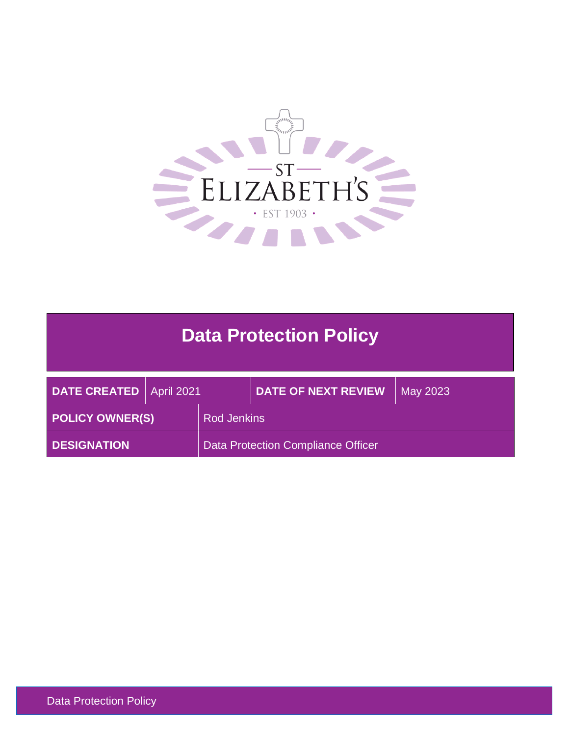

# **Data Protection Policy**

| DATE CREATED   April 2021 |  |                                    | <b>DATE OF NEXT REVIEW</b> | May 2023 |
|---------------------------|--|------------------------------------|----------------------------|----------|
| <b>POLICY OWNER(S)</b>    |  | <b>Rod Jenkins</b>                 |                            |          |
| <b>DESIGNATION</b>        |  | Data Protection Compliance Officer |                            |          |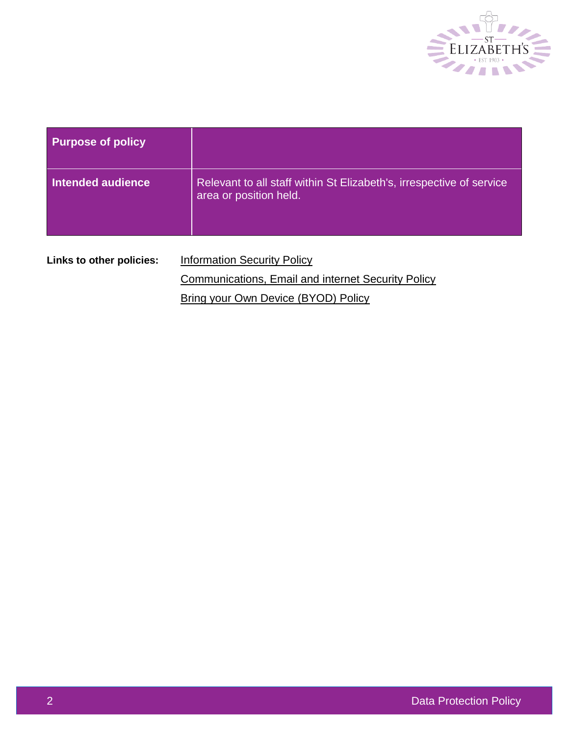

| <b>Purpose of policy</b> |                                                                                                |  |
|--------------------------|------------------------------------------------------------------------------------------------|--|
| <b>Intended audience</b> | Relevant to all staff within St Elizabeth's, irrespective of service<br>area or position held. |  |
| Links to other policies: | <b>Information Security Policy</b>                                                             |  |
|                          | <b>Communications, Email and internet Security Policy</b>                                      |  |
|                          | Bring your Own Device (BYOD) Policy                                                            |  |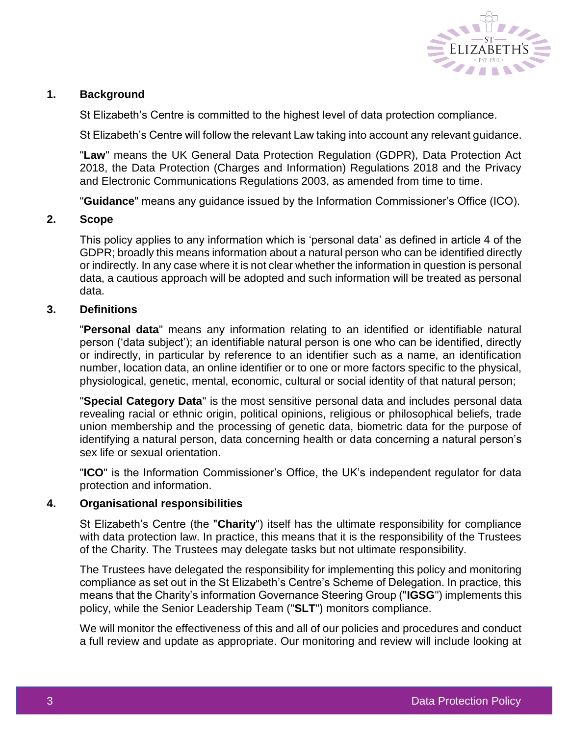

# **1. Background**

St Elizabeth's Centre is committed to the highest level of data protection compliance.

St Elizabeth's Centre will follow the relevant Law taking into account any relevant guidance.

"**Law**" means the UK General Data Protection Regulation (GDPR), Data Protection Act 2018, the Data Protection (Charges and Information) Regulations 2018 and the Privacy and Electronic Communications Regulations 2003, as amended from time to time.

"**Guidance**" means any guidance issued by the Information Commissioner's Office (ICO).

## **2. Scope**

This policy applies to any information which is 'personal data' as defined in article 4 of the GDPR; broadly this means information about a natural person who can be identified directly or indirectly. In any case where it is not clear whether the information in question is personal data, a cautious approach will be adopted and such information will be treated as personal data.

## **3. Definitions**

"**Personal data**" means any information relating to an identified or identifiable natural person ('data subject'); an identifiable natural person is one who can be identified, directly or indirectly, in particular by reference to an identifier such as a name, an identification number, location data, an online identifier or to one or more factors specific to the physical, physiological, genetic, mental, economic, cultural or social identity of that natural person;

"**Special Category Data**" is the most sensitive personal data and includes personal data revealing racial or ethnic origin, political opinions, religious or philosophical beliefs, trade union membership and the processing of genetic data, biometric data for the purpose of identifying a natural person, data concerning health or data concerning a natural person's sex life or sexual orientation.

"**ICO**" is the Information Commissioner's Office, the UK's independent regulator for data protection and information.

#### **4. Organisational responsibilities**

St Elizabeth's Centre (the "**Charity**") itself has the ultimate responsibility for compliance with data protection law. In practice, this means that it is the responsibility of the Trustees of the Charity. The Trustees may delegate tasks but not ultimate responsibility.

The Trustees have delegated the responsibility for implementing this policy and monitoring compliance as set out in the St Elizabeth's Centre's Scheme of Delegation. In practice, this means that the Charity's information Governance Steering Group ("**IGSG**") implements this policy, while the Senior Leadership Team ("**SLT**") monitors compliance.

We will monitor the effectiveness of this and all of our policies and procedures and conduct a full review and update as appropriate. Our monitoring and review will include looking at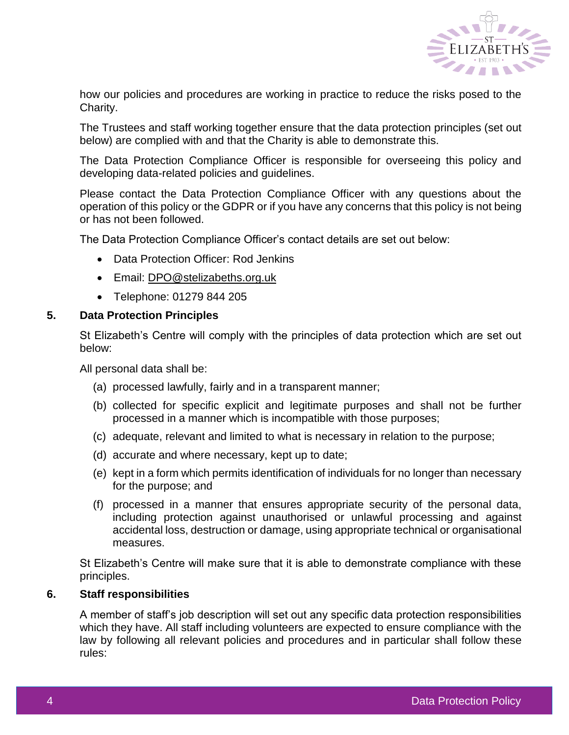

how our policies and procedures are working in practice to reduce the risks posed to the Charity.

The Trustees and staff working together ensure that the data protection principles (set out below) are complied with and that the Charity is able to demonstrate this.

The Data Protection Compliance Officer is responsible for overseeing this policy and developing data-related policies and guidelines.

Please contact the Data Protection Compliance Officer with any questions about the operation of this policy or the GDPR or if you have any concerns that this policy is not being or has not been followed.

The Data Protection Compliance Officer's contact details are set out below:

- Data Protection Officer: Rod Jenkins
- Email: [DPO@stelizabeths.org.uk](mailto:DPO@stelizabeths.org.uk)
- Telephone: 01279 844 205

#### **5. Data Protection Principles**

St Elizabeth's Centre will comply with the principles of data protection which are set out below:

All personal data shall be:

- (a) processed lawfully, fairly and in a transparent manner;
- (b) collected for specific explicit and legitimate purposes and shall not be further processed in a manner which is incompatible with those purposes;
- (c) adequate, relevant and limited to what is necessary in relation to the purpose;
- (d) accurate and where necessary, kept up to date;
- (e) kept in a form which permits identification of individuals for no longer than necessary for the purpose; and
- (f) processed in a manner that ensures appropriate security of the personal data, including protection against unauthorised or unlawful processing and against accidental loss, destruction or damage, using appropriate technical or organisational measures.

St Elizabeth's Centre will make sure that it is able to demonstrate compliance with these principles.

#### **6. Staff responsibilities**

A member of staff's job description will set out any specific data protection responsibilities which they have. All staff including volunteers are expected to ensure compliance with the law by following all relevant policies and procedures and in particular shall follow these rules: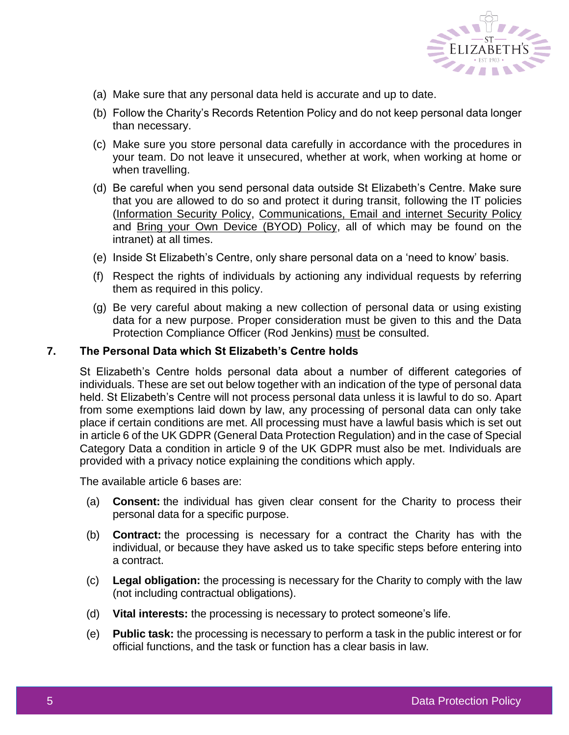

- (a) Make sure that any personal data held is accurate and up to date.
- (b) Follow the Charity's Records Retention Policy and do not keep personal data longer than necessary.
- (c) Make sure you store personal data carefully in accordance with the procedures in your team. Do not leave it unsecured, whether at work, when working at home or when travelling.
- (d) Be careful when you send personal data outside St Elizabeth's Centre. Make sure that you are allowed to do so and protect it during transit, following the IT policies [\(Information Security Policy, Communications, Email and internet Security Policy](http://intranet/Personnel%20Documents/Forms/AllItems.aspx?RootFolder=%2fPersonnel%20Documents%2f03%2e%20Standards%20and%20Expectations%2fUse%20of%20IT%20and%20Telecommunications%2c%20Photos%20and%20Recording&FolderCTID=&View=%7b9E3C1694%2d1752%2d43BA%2d838A%2d71445F0A9E13%7d) and [Bring your Own Device \(BYOD\) Policy,](http://intranet/Personnel%20Documents/Forms/AllItems.aspx?RootFolder=%2fPersonnel%20Documents%2f03%2e%20Standards%20and%20Expectations%2fUse%20of%20IT%20and%20Telecommunications%2c%20Photos%20and%20Recording&FolderCTID=&View=%7b9E3C1694%2d1752%2d43BA%2d838A%2d71445F0A9E13%7d) all of which may be found on the intranet) at all times.
- (e) Inside St Elizabeth's Centre, only share personal data on a 'need to know' basis.
- (f) Respect the rights of individuals by actioning any individual requests by referring them as required in this policy.
- (g) Be very careful about making a new collection of personal data or using existing data for a new purpose. Proper consideration must be given to this and the Data Protection Compliance Officer (Rod Jenkins) must be consulted.

#### **7. The Personal Data which St Elizabeth's Centre holds**

St Elizabeth's Centre holds personal data about a number of different categories of individuals. These are set out below together with an indication of the type of personal data held. St Elizabeth's Centre will not process personal data unless it is lawful to do so. Apart from some exemptions laid down by law, any processing of personal data can only take place if certain conditions are met. All processing must have a lawful basis which is set out in article 6 of the UK GDPR (General Data Protection Regulation) and in the case of Special Category Data a condition in article 9 of the UK GDPR must also be met. Individuals are provided with a privacy notice explaining the conditions which apply.

The available article 6 bases are:

- (a) **Consent:** the individual has given clear consent for the Charity to process their personal data for a specific purpose.
- (b) **Contract:** the processing is necessary for a contract the Charity has with the individual, or because they have asked us to take specific steps before entering into a contract.
- (c) **Legal obligation:** the processing is necessary for the Charity to comply with the law (not including contractual obligations).
- (d) **Vital interests:** the processing is necessary to protect someone's life.
- (e) **Public task:** the processing is necessary to perform a task in the public interest or for official functions, and the task or function has a clear basis in law.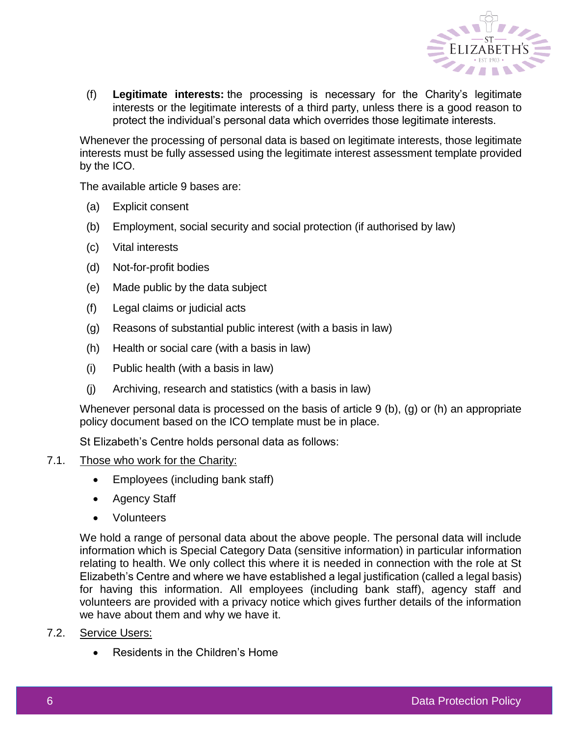

(f) **Legitimate interests:** the processing is necessary for the Charity's legitimate interests or the legitimate interests of a third party, unless there is a good reason to protect the individual's personal data which overrides those legitimate interests.

Whenever the processing of personal data is based on legitimate interests, those legitimate interests must be fully assessed using the legitimate interest assessment template provided by the ICO.

The available article 9 bases are:

- (a) Explicit consent
- (b) Employment, social security and social protection (if authorised by law)
- (c) Vital interests
- (d) Not-for-profit bodies
- (e) Made public by the data subject
- (f) Legal claims or judicial acts
- (g) Reasons of substantial public interest (with a basis in law)
- (h) Health or social care (with a basis in law)
- (i) Public health (with a basis in law)
- (j) Archiving, research and statistics (with a basis in law)

Whenever personal data is processed on the basis of article 9 (b), (g) or (h) an appropriate policy document based on the ICO template must be in place.

St Elizabeth's Centre holds personal data as follows:

## 7.1. Those who work for the Charity:

- Employees (including bank staff)
- Agency Staff
- Volunteers

We hold a range of personal data about the above people. The personal data will include information which is Special Category Data (sensitive information) in particular information relating to health. We only collect this where it is needed in connection with the role at St Elizabeth's Centre and where we have established a legal justification (called a legal basis) for having this information. All employees (including bank staff), agency staff and volunteers are provided with a privacy notice which gives further details of the information we have about them and why we have it.

- 7.2. Service Users:
	- Residents in the Children's Home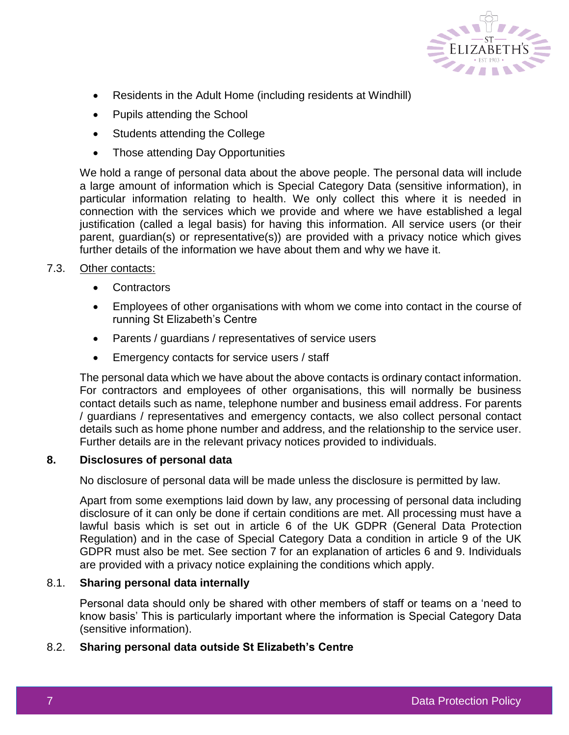

- Residents in the Adult Home (including residents at Windhill)
- Pupils attending the School
- Students attending the College
- Those attending Day Opportunities

We hold a range of personal data about the above people. The personal data will include a large amount of information which is Special Category Data (sensitive information), in particular information relating to health. We only collect this where it is needed in connection with the services which we provide and where we have established a legal justification (called a legal basis) for having this information. All service users (or their parent, guardian(s) or representative(s)) are provided with a privacy notice which gives further details of the information we have about them and why we have it.

# 7.3. Other contacts:

- **Contractors**
- Employees of other organisations with whom we come into contact in the course of running St Elizabeth's Centre
- Parents / guardians / representatives of service users
- Emergency contacts for service users / staff

The personal data which we have about the above contacts is ordinary contact information. For contractors and employees of other organisations, this will normally be business contact details such as name, telephone number and business email address. For parents / guardians / representatives and emergency contacts, we also collect personal contact details such as home phone number and address, and the relationship to the service user. Further details are in the relevant privacy notices provided to individuals.

#### **8. Disclosures of personal data**

No disclosure of personal data will be made unless the disclosure is permitted by law.

Apart from some exemptions laid down by law, any processing of personal data including disclosure of it can only be done if certain conditions are met. All processing must have a lawful basis which is set out in article 6 of the UK GDPR (General Data Protection Regulation) and in the case of Special Category Data a condition in article 9 of the UK GDPR must also be met. See section 7 for an explanation of articles 6 and 9. Individuals are provided with a privacy notice explaining the conditions which apply.

## 8.1. **Sharing personal data internally**

Personal data should only be shared with other members of staff or teams on a 'need to know basis' This is particularly important where the information is Special Category Data (sensitive information).

#### 8.2. **Sharing personal data outside St Elizabeth's Centre**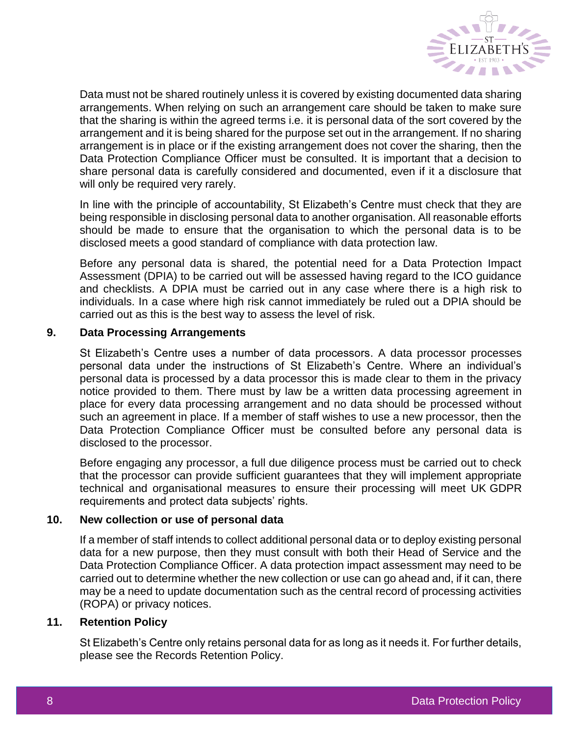

Data must not be shared routinely unless it is covered by existing documented data sharing arrangements. When relying on such an arrangement care should be taken to make sure that the sharing is within the agreed terms i.e. it is personal data of the sort covered by the arrangement and it is being shared for the purpose set out in the arrangement. If no sharing arrangement is in place or if the existing arrangement does not cover the sharing, then the Data Protection Compliance Officer must be consulted. It is important that a decision to share personal data is carefully considered and documented, even if it a disclosure that will only be required very rarely.

In line with the principle of accountability, St Elizabeth's Centre must check that they are being responsible in disclosing personal data to another organisation. All reasonable efforts should be made to ensure that the organisation to which the personal data is to be disclosed meets a good standard of compliance with data protection law.

Before any personal data is shared, the potential need for a Data Protection Impact Assessment (DPIA) to be carried out will be assessed having regard to the ICO guidance and checklists. A DPIA must be carried out in any case where there is a high risk to individuals. In a case where high risk cannot immediately be ruled out a DPIA should be carried out as this is the best way to assess the level of risk.

## **9. Data Processing Arrangements**

St Elizabeth's Centre uses a number of data processors. A data processor processes personal data under the instructions of St Elizabeth's Centre. Where an individual's personal data is processed by a data processor this is made clear to them in the privacy notice provided to them. There must by law be a written data processing agreement in place for every data processing arrangement and no data should be processed without such an agreement in place. If a member of staff wishes to use a new processor, then the Data Protection Compliance Officer must be consulted before any personal data is disclosed to the processor.

Before engaging any processor, a full due diligence process must be carried out to check that the processor can provide sufficient guarantees that they will implement appropriate technical and organisational measures to ensure their processing will meet UK GDPR requirements and protect data subjects' rights.

# **10. New collection or use of personal data**

If a member of staff intends to collect additional personal data or to deploy existing personal data for a new purpose, then they must consult with both their Head of Service and the Data Protection Compliance Officer. A data protection impact assessment may need to be carried out to determine whether the new collection or use can go ahead and, if it can, there may be a need to update documentation such as the central record of processing activities (ROPA) or privacy notices.

#### **11. Retention Policy**

St Elizabeth's Centre only retains personal data for as long as it needs it. For further details, please see the Records Retention Policy.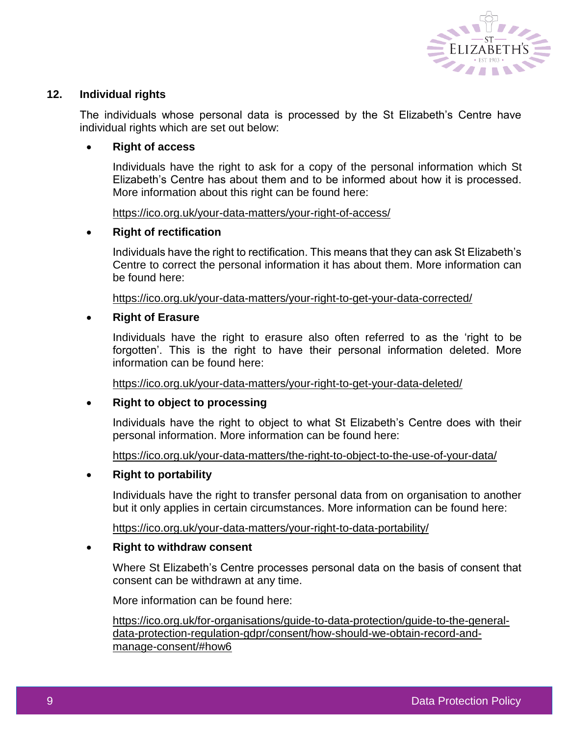

# **12. Individual rights**

The individuals whose personal data is processed by the St Elizabeth's Centre have individual rights which are set out below:

## **Right of access**

Individuals have the right to ask for a copy of the personal information which St Elizabeth's Centre has about them and to be informed about how it is processed. More information about this right can be found here:

<https://ico.org.uk/your-data-matters/your-right-of-access/>

## **Right of rectification**

Individuals have the right to rectification. This means that they can ask St Elizabeth's Centre to correct the personal information it has about them. More information can be found here:

<https://ico.org.uk/your-data-matters/your-right-to-get-your-data-corrected/>

## **Right of Erasure**

Individuals have the right to erasure also often referred to as the 'right to be forgotten'. This is the right to have their personal information deleted. More information can be found here:

<https://ico.org.uk/your-data-matters/your-right-to-get-your-data-deleted/>

#### **Right to object to processing**

Individuals have the right to object to what St Elizabeth's Centre does with their personal information. More information can be found here:

<https://ico.org.uk/your-data-matters/the-right-to-object-to-the-use-of-your-data/>

#### **Right to portability**

Individuals have the right to transfer personal data from on organisation to another but it only applies in certain circumstances. More information can be found here:

<https://ico.org.uk/your-data-matters/your-right-to-data-portability/>

#### **Right to withdraw consent**

Where St Elizabeth's Centre processes personal data on the basis of consent that consent can be withdrawn at any time.

More information can be found here:

[https://ico.org.uk/for-organisations/guide-to-data-protection/guide-to-the-general](https://ico.org.uk/for-organisations/guide-to-data-protection/guide-to-the-general-data-protection-regulation-gdpr/consent/how-should-we-obtain-record-and-manage-consent/#how6)[data-protection-regulation-gdpr/consent/how-should-we-obtain-record-and](https://ico.org.uk/for-organisations/guide-to-data-protection/guide-to-the-general-data-protection-regulation-gdpr/consent/how-should-we-obtain-record-and-manage-consent/#how6)[manage-consent/#how6](https://ico.org.uk/for-organisations/guide-to-data-protection/guide-to-the-general-data-protection-regulation-gdpr/consent/how-should-we-obtain-record-and-manage-consent/#how6)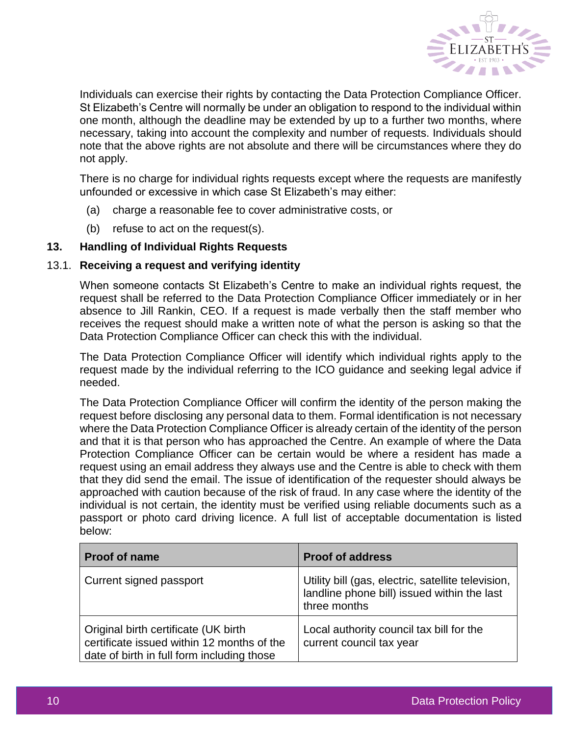

Individuals can exercise their rights by contacting the Data Protection Compliance Officer. St Elizabeth's Centre will normally be under an obligation to respond to the individual within one month, although the deadline may be extended by up to a further two months, where necessary, taking into account the complexity and number of requests. Individuals should note that the above rights are not absolute and there will be circumstances where they do not apply.

There is no charge for individual rights requests except where the requests are manifestly unfounded or excessive in which case St Elizabeth's may either:

- (a) charge a reasonable fee to cover administrative costs, or
- (b) refuse to act on the request(s).

# **13. Handling of Individual Rights Requests**

## 13.1. **Receiving a request and verifying identity**

When someone contacts St Elizabeth's Centre to make an individual rights request, the request shall be referred to the Data Protection Compliance Officer immediately or in her absence to Jill Rankin, CEO. If a request is made verbally then the staff member who receives the request should make a written note of what the person is asking so that the Data Protection Compliance Officer can check this with the individual.

The Data Protection Compliance Officer will identify which individual rights apply to the request made by the individual referring to the ICO guidance and seeking legal advice if needed.

The Data Protection Compliance Officer will confirm the identity of the person making the request before disclosing any personal data to them. Formal identification is not necessary where the Data Protection Compliance Officer is already certain of the identity of the person and that it is that person who has approached the Centre. An example of where the Data Protection Compliance Officer can be certain would be where a resident has made a request using an email address they always use and the Centre is able to check with them that they did send the email. The issue of identification of the requester should always be approached with caution because of the risk of fraud. In any case where the identity of the individual is not certain, the identity must be verified using reliable documents such as a passport or photo card driving licence. A full list of acceptable documentation is listed below:

| <b>Proof of name</b>                                                                                                             | <b>Proof of address</b>                                                                                           |
|----------------------------------------------------------------------------------------------------------------------------------|-------------------------------------------------------------------------------------------------------------------|
| Current signed passport                                                                                                          | Utility bill (gas, electric, satellite television,<br>landline phone bill) issued within the last<br>three months |
| Original birth certificate (UK birth<br>certificate issued within 12 months of the<br>date of birth in full form including those | Local authority council tax bill for the<br>current council tax year                                              |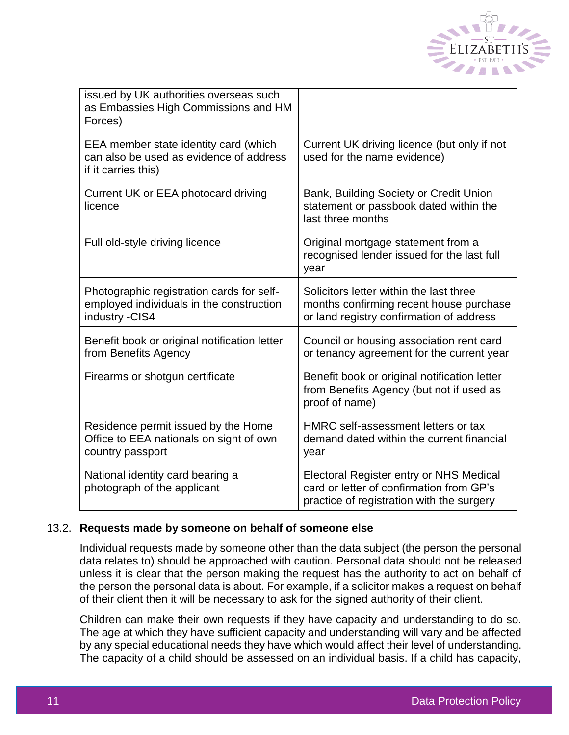

| issued by UK authorities overseas such<br>as Embassies High Commissions and HM<br>Forces)               |                                                                                                                                  |
|---------------------------------------------------------------------------------------------------------|----------------------------------------------------------------------------------------------------------------------------------|
| EEA member state identity card (which<br>can also be used as evidence of address<br>if it carries this) | Current UK driving licence (but only if not<br>used for the name evidence)                                                       |
| Current UK or EEA photocard driving<br>licence                                                          | Bank, Building Society or Credit Union<br>statement or passbook dated within the<br>last three months                            |
| Full old-style driving licence                                                                          | Original mortgage statement from a<br>recognised lender issued for the last full<br>year                                         |
| Photographic registration cards for self-<br>employed individuals in the construction<br>industry -CIS4 | Solicitors letter within the last three<br>months confirming recent house purchase<br>or land registry confirmation of address   |
| Benefit book or original notification letter<br>from Benefits Agency                                    | Council or housing association rent card<br>or tenancy agreement for the current year                                            |
| Firearms or shotgun certificate                                                                         | Benefit book or original notification letter<br>from Benefits Agency (but not if used as<br>proof of name)                       |
| Residence permit issued by the Home<br>Office to EEA nationals on sight of own<br>country passport      | HMRC self-assessment letters or tax<br>demand dated within the current financial<br>year                                         |
| National identity card bearing a<br>photograph of the applicant                                         | Electoral Register entry or NHS Medical<br>card or letter of confirmation from GP's<br>practice of registration with the surgery |

#### 13.2. **Requests made by someone on behalf of someone else**

Individual requests made by someone other than the data subject (the person the personal data relates to) should be approached with caution. Personal data should not be released unless it is clear that the person making the request has the authority to act on behalf of the person the personal data is about. For example, if a solicitor makes a request on behalf of their client then it will be necessary to ask for the signed authority of their client.

Children can make their own requests if they have capacity and understanding to do so. The age at which they have sufficient capacity and understanding will vary and be affected by any special educational needs they have which would affect their level of understanding. The capacity of a child should be assessed on an individual basis. If a child has capacity,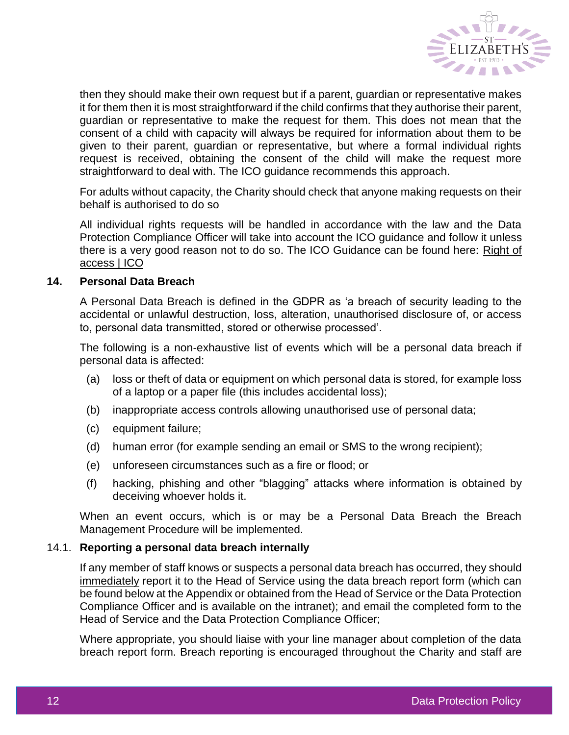

then they should make their own request but if a parent, guardian or representative makes it for them then it is most straightforward if the child confirms that they authorise their parent, guardian or representative to make the request for them. This does not mean that the consent of a child with capacity will always be required for information about them to be given to their parent, guardian or representative, but where a formal individual rights request is received, obtaining the consent of the child will make the request more straightforward to deal with. The ICO guidance recommends this approach.

For adults without capacity, the Charity should check that anyone making requests on their behalf is authorised to do so

All individual rights requests will be handled in accordance with the law and the Data Protection Compliance Officer will take into account the ICO guidance and follow it unless there is a very good reason not to do so. The ICO Guidance can be found here: [Right of](https://ico.org.uk/for-organisations/guide-to-data-protection/guide-to-the-general-data-protection-regulation-gdpr/individual-rights/right-of-access/#children)  [access | ICO](https://ico.org.uk/for-organisations/guide-to-data-protection/guide-to-the-general-data-protection-regulation-gdpr/individual-rights/right-of-access/#children)

#### **14. Personal Data Breach**

A Personal Data Breach is defined in the GDPR as 'a breach of security leading to the accidental or unlawful destruction, loss, alteration, unauthorised disclosure of, or access to, personal data transmitted, stored or otherwise processed'.

The following is a non-exhaustive list of events which will be a personal data breach if personal data is affected:

- (a) loss or theft of data or equipment on which personal data is stored, for example loss of a laptop or a paper file (this includes accidental loss);
- (b) inappropriate access controls allowing unauthorised use of personal data;
- (c) equipment failure;
- (d) human error (for example sending an email or SMS to the wrong recipient);
- (e) unforeseen circumstances such as a fire or flood; or
- (f) hacking, phishing and other "blagging" attacks where information is obtained by deceiving whoever holds it.

When an event occurs, which is or may be a Personal Data Breach the Breach Management Procedure will be implemented.

#### 14.1. **Reporting a personal data breach internally**

If any member of staff knows or suspects a personal data breach has occurred, they should immediately report it to the Head of Service using the data breach report form (which can be found below at the Appendix or obtained from the Head of Service or the Data Protection Compliance Officer and is available on the intranet); and email the completed form to the Head of Service and the Data Protection Compliance Officer;

Where appropriate, you should liaise with your line manager about completion of the data breach report form. Breach reporting is encouraged throughout the Charity and staff are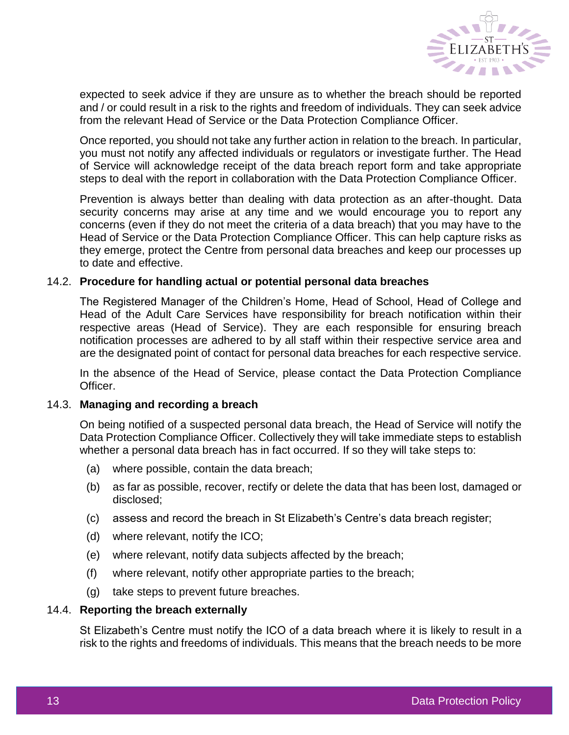

expected to seek advice if they are unsure as to whether the breach should be reported and / or could result in a risk to the rights and freedom of individuals. They can seek advice from the relevant Head of Service or the Data Protection Compliance Officer.

Once reported, you should not take any further action in relation to the breach. In particular, you must not notify any affected individuals or regulators or investigate further. The Head of Service will acknowledge receipt of the data breach report form and take appropriate steps to deal with the report in collaboration with the Data Protection Compliance Officer.

Prevention is always better than dealing with data protection as an after-thought. Data security concerns may arise at any time and we would encourage you to report any concerns (even if they do not meet the criteria of a data breach) that you may have to the Head of Service or the Data Protection Compliance Officer. This can help capture risks as they emerge, protect the Centre from personal data breaches and keep our processes up to date and effective.

#### 14.2. **Procedure for handling actual or potential personal data breaches**

The Registered Manager of the Children's Home, Head of School, Head of College and Head of the Adult Care Services have responsibility for breach notification within their respective areas (Head of Service). They are each responsible for ensuring breach notification processes are adhered to by all staff within their respective service area and are the designated point of contact for personal data breaches for each respective service.

In the absence of the Head of Service, please contact the Data Protection Compliance Officer.

#### 14.3. **Managing and recording a breach**

On being notified of a suspected personal data breach, the Head of Service will notify the Data Protection Compliance Officer. Collectively they will take immediate steps to establish whether a personal data breach has in fact occurred. If so they will take steps to:

- (a) where possible, contain the data breach;
- (b) as far as possible, recover, rectify or delete the data that has been lost, damaged or disclosed;
- (c) assess and record the breach in St Elizabeth's Centre's data breach register;
- (d) where relevant, notify the ICO;
- (e) where relevant, notify data subjects affected by the breach;
- (f) where relevant, notify other appropriate parties to the breach;
- (g) take steps to prevent future breaches.

#### 14.4. **Reporting the breach externally**

St Elizabeth's Centre must notify the ICO of a data breach where it is likely to result in a risk to the rights and freedoms of individuals. This means that the breach needs to be more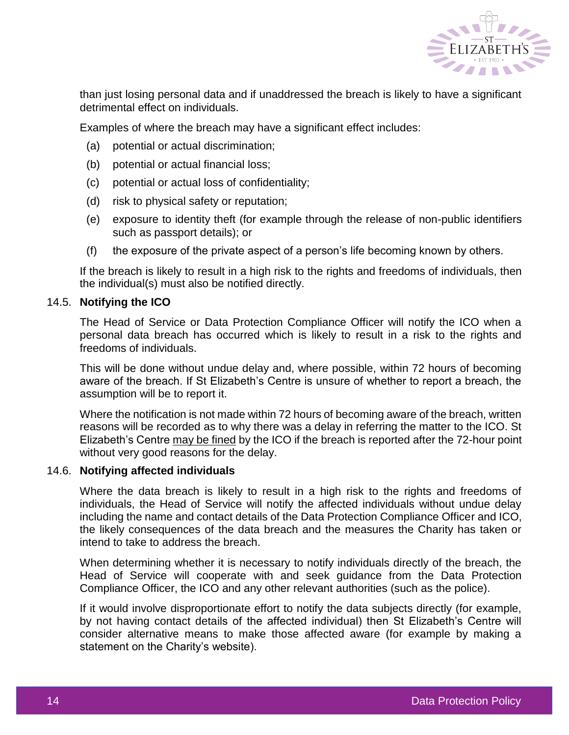

than just losing personal data and if unaddressed the breach is likely to have a significant detrimental effect on individuals.

Examples of where the breach may have a significant effect includes:

- (a) potential or actual discrimination;
- (b) potential or actual financial loss;
- (c) potential or actual loss of confidentiality;
- (d) risk to physical safety or reputation;
- (e) exposure to identity theft (for example through the release of non-public identifiers such as passport details); or
- (f) the exposure of the private aspect of a person's life becoming known by others.

If the breach is likely to result in a high risk to the rights and freedoms of individuals, then the individual(s) must also be notified directly.

#### 14.5. **Notifying the ICO**

The Head of Service or Data Protection Compliance Officer will notify the ICO when a personal data breach has occurred which is likely to result in a risk to the rights and freedoms of individuals.

This will be done without undue delay and, where possible, within 72 hours of becoming aware of the breach. If St Elizabeth's Centre is unsure of whether to report a breach, the assumption will be to report it.

Where the notification is not made within 72 hours of becoming aware of the breach, written reasons will be recorded as to why there was a delay in referring the matter to the ICO. St Elizabeth's Centre may be fined by the ICO if the breach is reported after the 72-hour point without very good reasons for the delay.

#### 14.6. **Notifying affected individuals**

Where the data breach is likely to result in a high risk to the rights and freedoms of individuals, the Head of Service will notify the affected individuals without undue delay including the name and contact details of the Data Protection Compliance Officer and ICO, the likely consequences of the data breach and the measures the Charity has taken or intend to take to address the breach.

When determining whether it is necessary to notify individuals directly of the breach, the Head of Service will cooperate with and seek guidance from the Data Protection Compliance Officer, the ICO and any other relevant authorities (such as the police).

If it would involve disproportionate effort to notify the data subjects directly (for example, by not having contact details of the affected individual) then St Elizabeth's Centre will consider alternative means to make those affected aware (for example by making a statement on the Charity's website).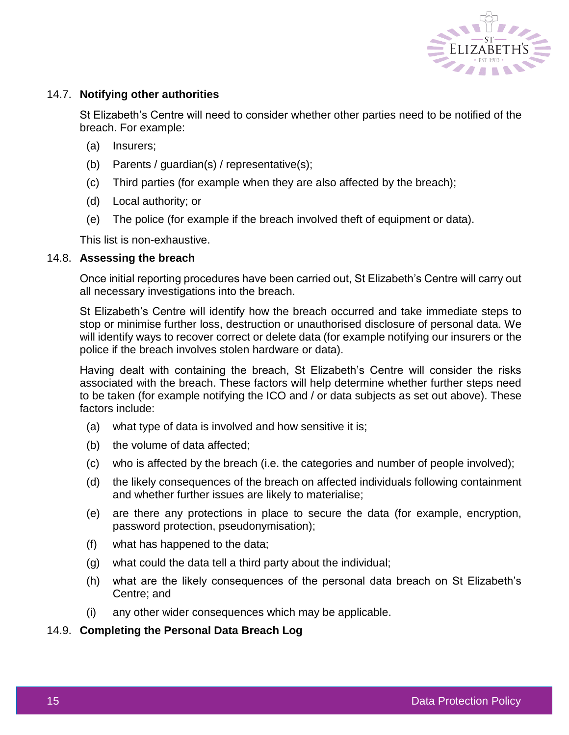

# 14.7. **Notifying other authorities**

St Elizabeth's Centre will need to consider whether other parties need to be notified of the breach. For example:

- (a) Insurers;
- (b) Parents / guardian(s) / representative(s);
- (c) Third parties (for example when they are also affected by the breach);
- (d) Local authority; or
- (e) The police (for example if the breach involved theft of equipment or data).

This list is non-exhaustive.

#### 14.8. **Assessing the breach**

Once initial reporting procedures have been carried out, St Elizabeth's Centre will carry out all necessary investigations into the breach.

St Elizabeth's Centre will identify how the breach occurred and take immediate steps to stop or minimise further loss, destruction or unauthorised disclosure of personal data. We will identify ways to recover correct or delete data (for example notifying our insurers or the police if the breach involves stolen hardware or data).

Having dealt with containing the breach, St Elizabeth's Centre will consider the risks associated with the breach. These factors will help determine whether further steps need to be taken (for example notifying the ICO and / or data subjects as set out above). These factors include:

- (a) what type of data is involved and how sensitive it is;
- (b) the volume of data affected;
- (c) who is affected by the breach (i.e. the categories and number of people involved);
- (d) the likely consequences of the breach on affected individuals following containment and whether further issues are likely to materialise;
- (e) are there any protections in place to secure the data (for example, encryption, password protection, pseudonymisation);
- (f) what has happened to the data;
- (g) what could the data tell a third party about the individual;
- (h) what are the likely consequences of the personal data breach on St Elizabeth's Centre; and
- (i) any other wider consequences which may be applicable.

#### 14.9. **Completing the Personal Data Breach Log**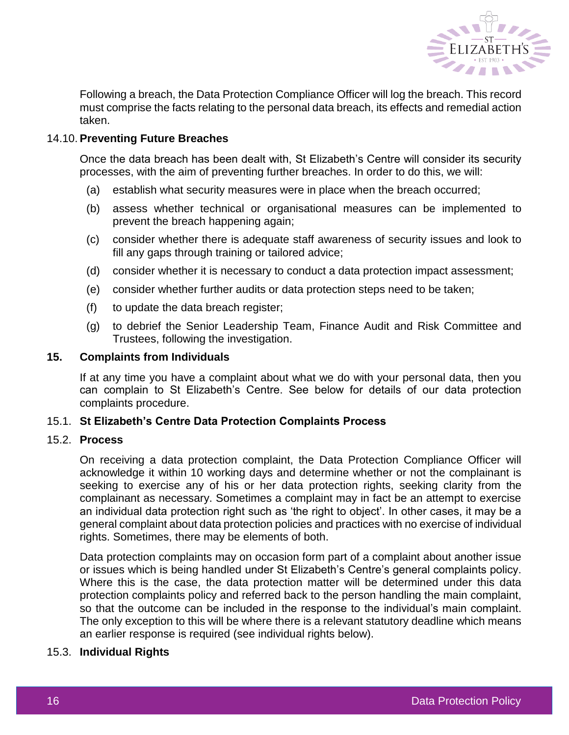

Following a breach, the Data Protection Compliance Officer will log the breach. This record must comprise the facts relating to the personal data breach, its effects and remedial action taken.

## 14.10. **Preventing Future Breaches**

Once the data breach has been dealt with, St Elizabeth's Centre will consider its security processes, with the aim of preventing further breaches. In order to do this, we will:

- (a) establish what security measures were in place when the breach occurred;
- (b) assess whether technical or organisational measures can be implemented to prevent the breach happening again;
- (c) consider whether there is adequate staff awareness of security issues and look to fill any gaps through training or tailored advice;
- (d) consider whether it is necessary to conduct a data protection impact assessment;
- (e) consider whether further audits or data protection steps need to be taken;
- (f) to update the data breach register;
- (g) to debrief the Senior Leadership Team, Finance Audit and Risk Committee and Trustees, following the investigation.

#### **15. Complaints from Individuals**

If at any time you have a complaint about what we do with your personal data, then you can complain to St Elizabeth's Centre. See below for details of our data protection complaints procedure.

# 15.1. **St Elizabeth's Centre Data Protection Complaints Process**

#### 15.2. **Process**

On receiving a data protection complaint, the Data Protection Compliance Officer will acknowledge it within 10 working days and determine whether or not the complainant is seeking to exercise any of his or her data protection rights, seeking clarity from the complainant as necessary. Sometimes a complaint may in fact be an attempt to exercise an individual data protection right such as 'the right to object'. In other cases, it may be a general complaint about data protection policies and practices with no exercise of individual rights. Sometimes, there may be elements of both.

Data protection complaints may on occasion form part of a complaint about another issue or issues which is being handled under St Elizabeth's Centre's general complaints policy. Where this is the case, the data protection matter will be determined under this data protection complaints policy and referred back to the person handling the main complaint, so that the outcome can be included in the response to the individual's main complaint. The only exception to this will be where there is a relevant statutory deadline which means an earlier response is required (see individual rights below).

# 15.3. **Individual Rights**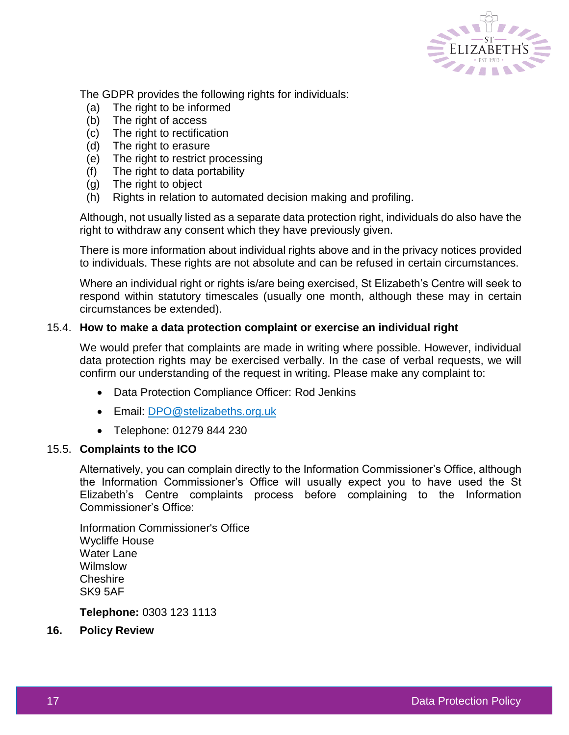

The GDPR provides the following rights for individuals:

- (a) The right to be informed
- (b) The right of access
- (c) The right to rectification
- (d) The right to erasure
- (e) The right to restrict processing
- (f) The right to data portability
- (g) The right to object
- (h) Rights in relation to automated decision making and profiling.

Although, not usually listed as a separate data protection right, individuals do also have the right to withdraw any consent which they have previously given.

There is more information about individual rights above and in the privacy notices provided to individuals. These rights are not absolute and can be refused in certain circumstances.

Where an individual right or rights is/are being exercised, St Elizabeth's Centre will seek to respond within statutory timescales (usually one month, although these may in certain circumstances be extended).

## 15.4. **How to make a data protection complaint or exercise an individual right**

We would prefer that complaints are made in writing where possible. However, individual data protection rights may be exercised verbally. In the case of verbal requests, we will confirm our understanding of the request in writing. Please make any complaint to:

- Data Protection Compliance Officer: Rod Jenkins
- Email: [DPO@stelizabeths.org.uk](mailto:DPO@stelizabeths.org.uk)
- Telephone: 01279 844 230

#### 15.5. **Complaints to the ICO**

Alternatively, you can complain directly to the Information Commissioner's Office, although the Information Commissioner's Office will usually expect you to have used the St Elizabeth's Centre complaints process before complaining to the Information Commissioner's Office:

Information Commissioner's Office Wycliffe House Water Lane Wilmslow **Cheshire** SK9 5AF

**Telephone:** 0303 123 1113

**16. Policy Review**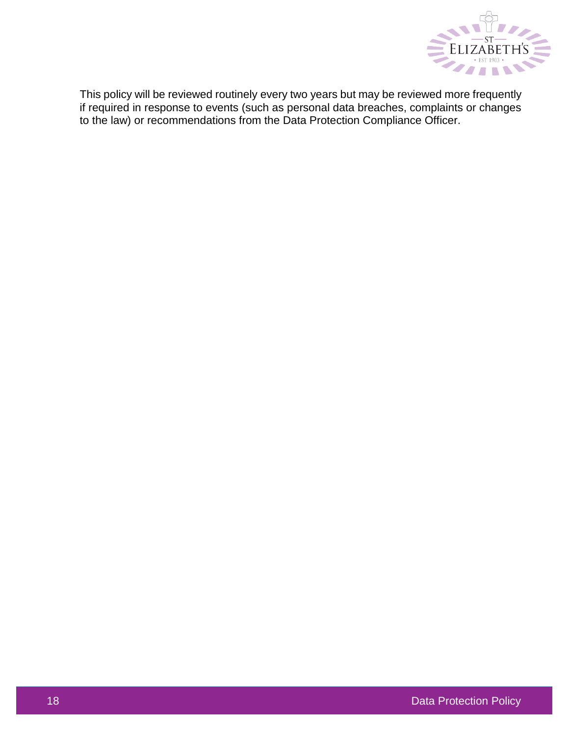

This policy will be reviewed routinely every two years but may be reviewed more frequently if required in response to events (such as personal data breaches, complaints or changes to the law) or recommendations from the Data Protection Compliance Officer.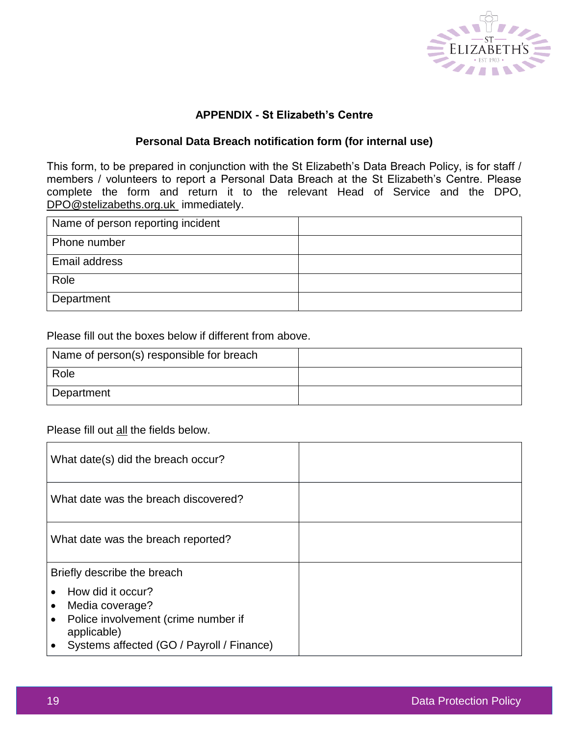

# **APPENDIX - St Elizabeth's Centre**

# **Personal Data Breach notification form (for internal use)**

This form, to be prepared in conjunction with the St Elizabeth's Data Breach Policy, is for staff / members / volunteers to report a Personal Data Breach at the St Elizabeth's Centre. Please complete the form and return it to the relevant Head of Service and the DPO, [DPO@stelizabeths.org.uk](mailto:DPO@stelizabeths.org.uk)\_immediately.

| Name of person reporting incident |  |
|-----------------------------------|--|
| Phone number                      |  |
| Email address                     |  |
| Role                              |  |
| Department                        |  |

## Please fill out the boxes below if different from above.

| Name of person(s) responsible for breach |  |
|------------------------------------------|--|
| Role                                     |  |
| Department                               |  |

Please fill out all the fields below.

| What date(s) did the breach occur?                                                                                                                                |  |
|-------------------------------------------------------------------------------------------------------------------------------------------------------------------|--|
| What date was the breach discovered?                                                                                                                              |  |
| What date was the breach reported?                                                                                                                                |  |
| Briefly describe the breach                                                                                                                                       |  |
| How did it occur?<br>Media coverage?<br>$\bullet$<br>Police involvement (crime number if<br>$\bullet$<br>applicable)<br>Systems affected (GO / Payroll / Finance) |  |